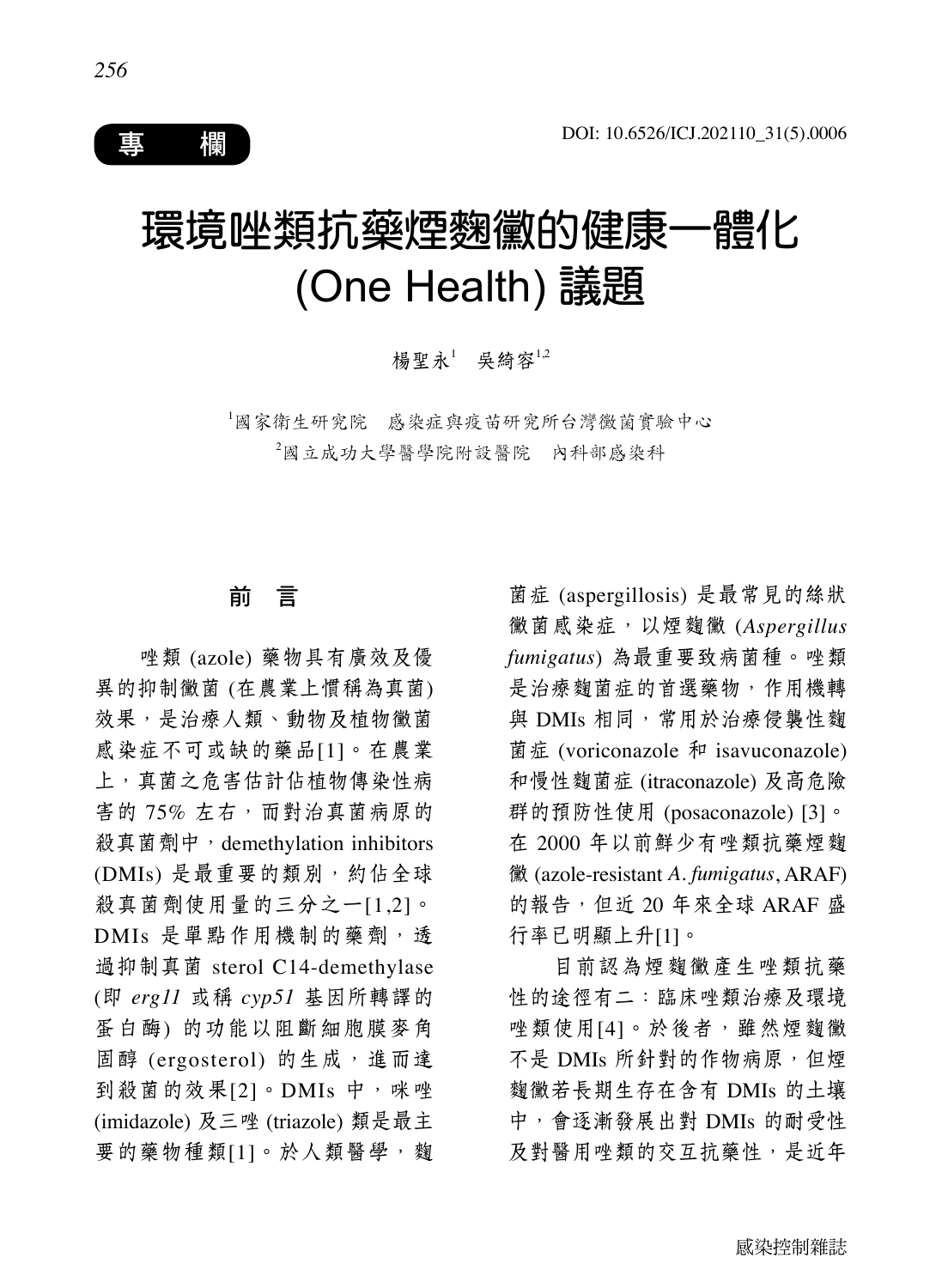

# 環境唑類抗藥煙麴黴的健康一體化 (One Health) 議題

楊聖永<sup>1</sup> 吳綺容<sup>1,2</sup>

1 國家衛生研究院 感染症與疫苗研究所台灣黴菌實驗中心 2 國立成功大學醫學院附設醫院 內科部感染科

## 前 言

唑類 (azole) 藥物具有廣效及優 異的抑制黴菌 (在農業上慣稱為真菌) 效果,是治療人類、動物及植物黴菌 感染症不可或缺的藥品[1]。在農業 上,真菌之危害估計佔植物傳染性病 害的 75% 左右,而對治真菌病原的 殺真菌劑中, demethylation inhibitors (DMIs) 是最重要的類別, 約佔全球 殺真菌劑使用量的三分之一[1,2]。 DMIs 是單點作用機制的藥劑,透 過抑制真菌 sterol C14-demethylase (即 *erg11* 或稱 *cyp51* 基因所轉譯的 蛋白酶) 的功能以阻斷細胞膜麥角 固醇 (ergosterol) 的生成, 進而達 到殺菌的效果[2]。DMIs 中,咪唑 (imidazole) 及三唑 (triazole) 類是最主 要的藥物種類[1]。於人類醫學,麴

菌症 (aspergillosis) 是最常見的絲狀 黴菌感染症,以煙麴黴 (*Aspergillus fumigatus*) 為最重要致病菌種。唑類 是治療麴菌症的首選藥物,作用機轉 與 DMIs 相同,常用於治療侵襲性麴 菌症 (voriconazole 和 isavuconazole) 和慢性麴菌症 (itraconazole) 及高危險 群的預防性使用 (posaconazole) [3]。 在 2000 年以前鮮少有唑類抗藥煙麴 黴 (azole-resistant *A. fumigatus*, ARAF) 的報告,但近 20 年來全球 ARAF 盛 行率已明顯上升[1]。

目前認為煙麴黴產生唑類抗藥 性的途徑有二:臨床唑類治療及環境 唑類使用[4]。於後者,雖然煙麴黴 不是 DMIs 所針對的作物病原, 但煙 麴黴若長期生存在含有 DMIs 的土壤 中,會逐漸發展出對 DMIs 的耐受性 及對醫用唑類的交互抗藥性,是近年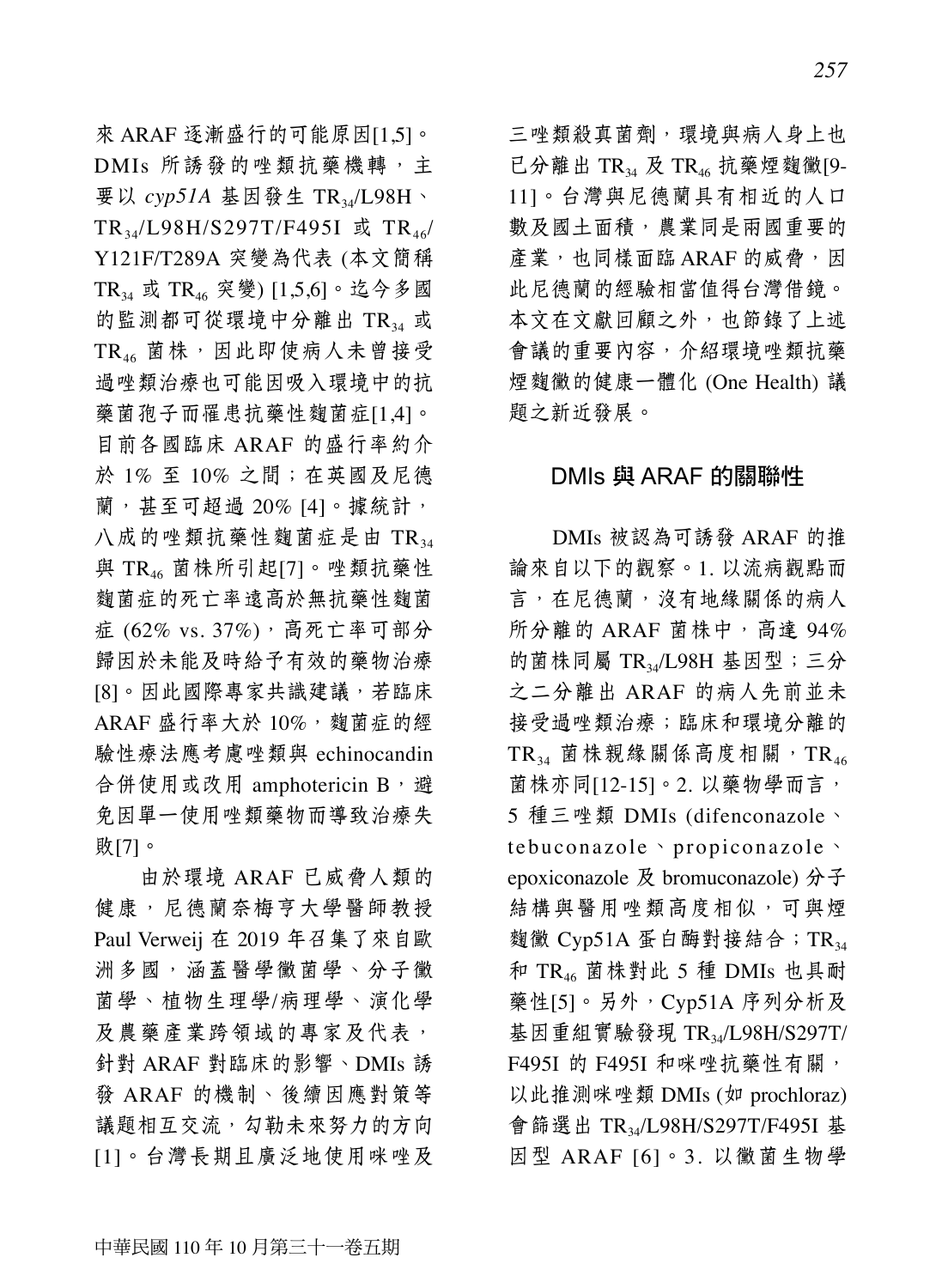來 ARAF 逐漸盛行的可能原因[1,5]。 DMIs 所誘發的唑類抗藥機轉,主 要以 *cyp51A* 基因發生 TR34/L98H、 TR<sub>34</sub>/L98H/S297T/F495I 或 TR<sub>46</sub>/ Y121F/T289A 突變為代表 (本文簡稱 TR34 或 TR46 突變) [1,5,6]。迄今多國 的監測都可從環境中分離出 TR34 或  $TR_{46}$ 菌株,因此即使病人未曾接受 過唑類治療也可能因吸入環境中的抗 藥菌孢子而罹患抗藥性麴菌症[1,4]。 目前各國臨床 ARAF 的盛行率約介 於 1% 至 10% 之間;在英國及尼德 蘭,甚至可超過 20% [4]。據統計, 八成的唑類抗藥性麴菌症是由 TR34 與 TR46 菌株所引起[7]。唑類抗藥性 麴菌症的死亡率遠高於無抗藥性麴菌 症  $(62\% \text{ vs. } 37\%)$ , 高死亡率可部分 歸因於未能及時給予有效的藥物治療 [8]。因此國際專家共識建議,若臨床 ARAF 盛行率大於 10%, 麴菌症的經 驗性療法應考慮唑類與 echinocandin 合併使用或改用 amphotericin B,避 免因單一使用唑類藥物而導致治療失 敗[7]。

由於環境 ARAF 已威脅人類的 健康,尼德蘭奈梅亨大學醫師教授 Paul Verweij 在 2019 年召集了來自歐 洲多國,涵蓋醫學黴菌學、分子黴 菌學、植物生理學/病理學、演化學 及農藥產業跨領域的專家及代表, 針對 ARAF 對臨床的影響、DMIs 誘 發 ARAF 的機制、後續因應對策等 議題相互交流,勾勒未來努力的方向 [1]。台灣長期且廣泛地使用咪唑及 三唑類殺真菌劑,環境與病人身上也 已分離出 TR $_{34}$  及 TR $_{46}$  抗藥煙麴黴[9-11]。台灣與尼德蘭具有相近的人口 數及國土面積,農業同是兩國重要的 產業,也同樣面臨 ARAF 的威脅,因 此尼德蘭的經驗相當值得台灣借鏡。 本文在文獻回顧之外,也節錄了上述 會議的重要內容,介紹環境唑類抗藥 煙麴黴的健康一體化 (One Health) 議 題之新近發展。

### DMIs 與 ARAF 的關聯性

DMIs 被認為可誘發 ARAF 的推 論來自以下的觀察。1. 以流病觀點而 言,在尼德蘭,沒有地緣關係的病人 所分離的 ARAF 菌株中, 高達 94% 的菌株同屬 TR3/L98H 基因型;三分 之二分離出 ARAF 的病人先前並未 接受過唑類治療;臨床和環境分離的 TR34 菌株親緣關係高度相關, TR46 菌株亦同 $[12-15]$ 。2. 以藥物學而言, 5 種三唑類 DMIs (difenconazole、 tebuconazole、propiconazole、 epoxiconazole 及 bromuconazole) 分子 結構與醫用唑類高度相似,可與煙 麴黴  $Cyp51A \nLeftrightarrow Ep$  to 酶對接結合; TR<sub>34</sub> 和 TR46 菌株對此 5 種 DMIs 也具耐 藥性[5]。另外, Cyp51A 序列分析及 基因重組實驗發現 TR<sub>34</sub>/L98H/S297T/ F495I 的 F495I 和咪唑抗藥性有關, 以此推測咪唑類 DMIs (如 prochloraz) 會篩選出 TR34/L98H/S297T/F495I 基 因型 ARAF [6]。3. 以黴菌生物學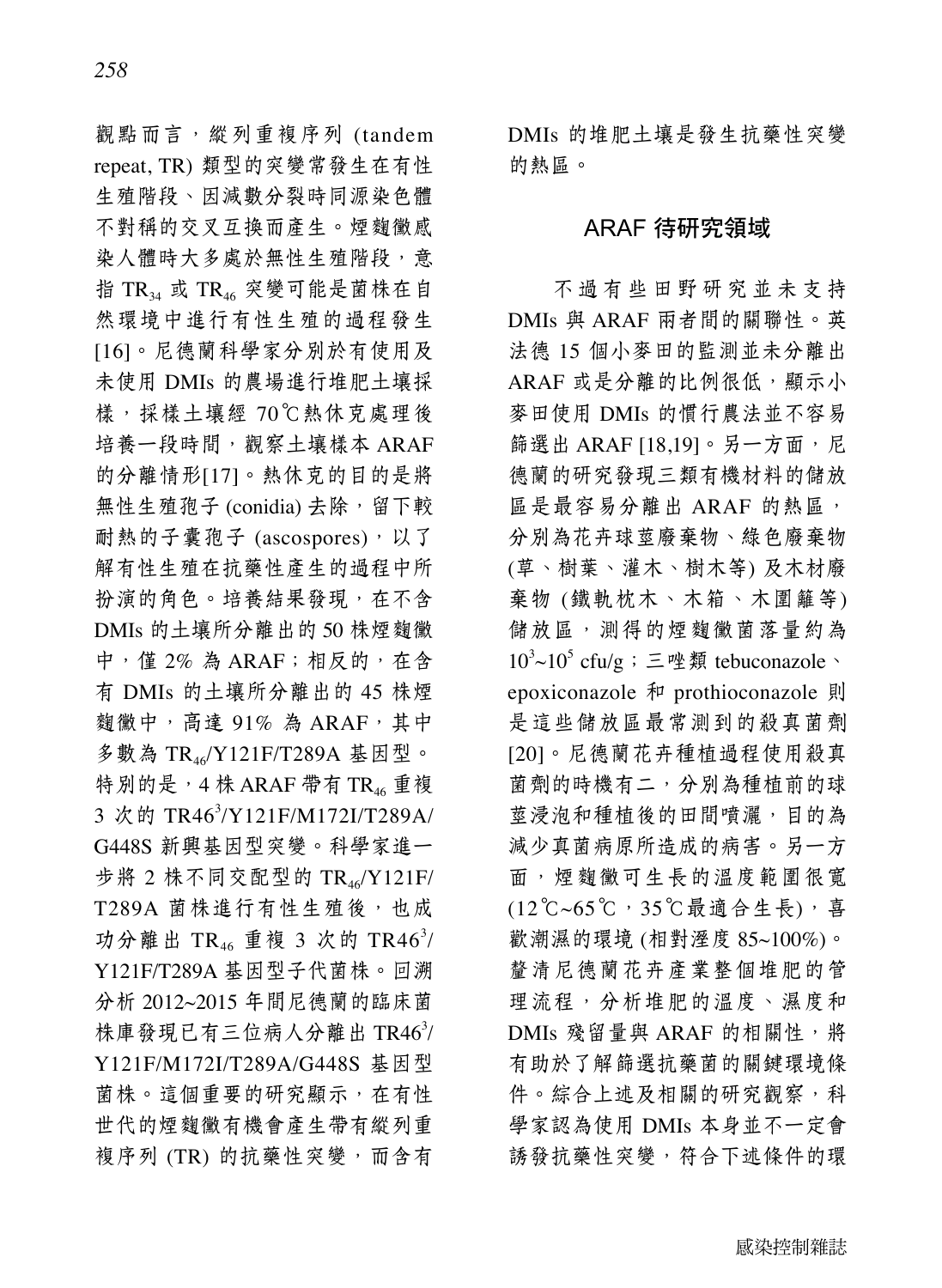觀點而言,縱列重複序列 (tandem repeat, TR) 類型的突變常發生在有性 生殖階段、因減數分裂時同源染色體 不對稱的交叉互換而產生。煙麴黴感 染人體時大多處於無性生殖階段,意 指 TR34 或 TR46 突變可能是菌株在自 然環境中進行有性生殖的過程發生 [16]。尼德蘭科學家分別於有使用及 未使用 DMIs 的農場進行堆肥土壤採 樣,採樣土壤經 70℃熱休克處理後 培養一段時間,觀察土壤樣本 ARAF 的分離情形[17]。熱休克的目的是將 無性生殖孢子 (conidia) 去除,留下較 耐熱的子囊孢子 (ascospores), 以了 解有性生殖在抗藥性產生的過程中所 扮演的角色。培養結果發現,在不含 DMIs 的土壤所分離出的 50 株煙麴黴 中,僅 2%為 ARAF;相反的,在含 有 DMIs 的土壤所分離出的 45 株煙 麴黴中, 高達 91% 為 ARAF, 其中 多數為 TR46/Y121F/T289A 基因型。 特別的是, 4 株 ARAF 帶有 TR $_{46}$  重複 3 次的 TR46<sup>3</sup>/Y121F/M172I/T289A/ G448S 新興基因型突變。科學家進一 步將 2 株不同交配型的  $TR_{46}/Y121F/$ T289A 菌株進行有性生殖後,也成 功分離出 TR<sub>46</sub> 重複 3 次的 TR46<sup>3</sup>/ Y121F/T289A 基因型子代菌株。回溯 分析 2012~2015 年間尼德蘭的臨床菌 株庫發現已有三位病人分離出 TR463/ Y121F/M172I/T289A/G448S 基因型 菌株。這個重要的研究顯示,在有性 世代的煙麴黴有機會產生帶有縱列重 複序列 (TR) 的抗藥性突變, 而含有

DMIs 的堆肥土壤是發生抗藥性突變 的熱區。

### ARAF 待研究領域

不過有些田野研究並未支持 DMIs 與 ARAF 兩者間的關聯性。英 法德 15 個小麥田的監測並未分離出 ARAF 或是分離的比例很低,顯示小 麥田使用 DMIs 的慣行農法並不容易 篩選出 ARAF [18,19]。另一方面,尼 德蘭的研究發現三類有機材料的儲放 區是最容易分離出 ARAF 的熱區, 分別為花卉球莖廢棄物、綠色廢棄物 (草、樹葉、灌木、樹木等) 及木材廢 棄物 (鐵軌枕木、木箱、木圍籬等) 儲放區,測得的煙麴黴菌落量約為  $10<sup>3</sup>$ ~ $10<sup>5</sup>$  cfu/g ; 三唑類 tebuconazole、 epoxiconazole 和 prothioconazole 則 是這些儲放區最常測到的殺真菌劑 [20]。尼德蘭花卉種植過程使用殺真 菌劑的時機有二,分別為種植前的球 莖浸泡和種植後的田間噴灑,目的為 減少真菌病原所造成的病害。另一方 面,煙麴黴可生長的溫度範圍很寬 (12℃~65℃,35℃最適合生長),喜 歡潮濕的環境 (相對溼度 85~100%)。 釐清尼德蘭花卉產業整個堆肥的管 理流程,分析堆肥的溫度、濕度和 DMIs 殘留量與 ARAF 的相關性,將 有助於了解篩選抗藥菌的關鍵環境條 件。綜合上述及相關的研究觀察,科 學家認為使用 DMIs 本身並不一定會 誘發抗藥性突變,符合下述條件的環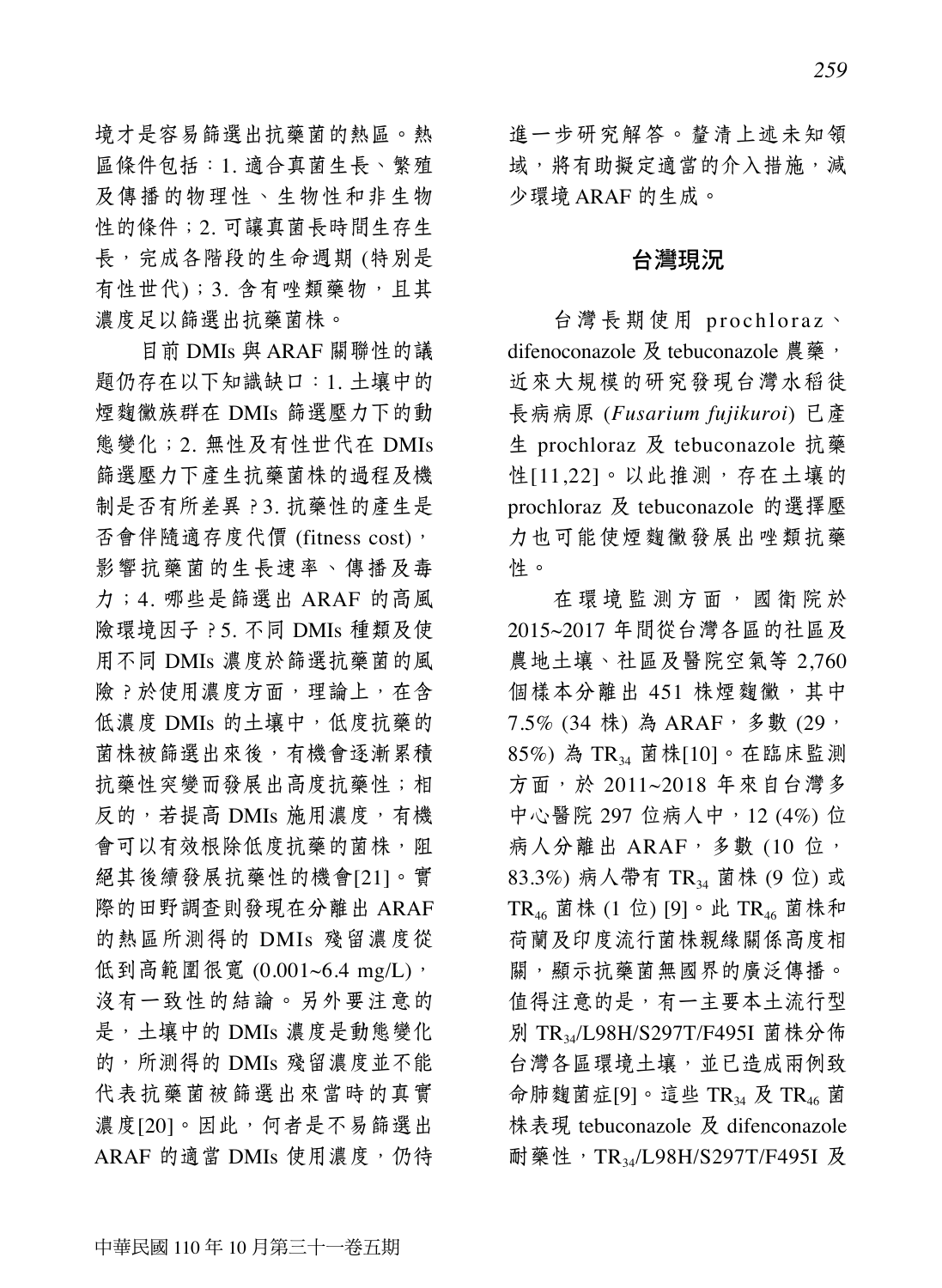境才是容易篩選出抗藥菌的熱區。熱 區條件包括:1. 適合真菌生長、繁殖 及傳播的物理性、生物性和非生物 性的條件;2. 可讓真菌長時間生存生 長,完成各階段的生命週期 (特別是 有性世代);3. 含有唑類藥物,且其 濃度足以篩選出抗藥菌株。

目前 DMIs 與 ARAF 關聯性的議 題仍存在以下知識缺口:1. 土壤中的 煙麴黴族群在 DMIs 篩選壓力下的動 態變化;2. 無性及有性世代在 DMIs 篩選壓力下產生抗藥菌株的過程及機 制是否有所差異?3. 抗藥性的產生是 否會伴隨適存度代價 (fitness cost), 影響抗藥菌的生長速率、傳播及毒 力;4. 哪些是篩選出 ARAF 的高風 險環境因子?5. 不同 DMIs 種類及使 用不同 DMIs 濃度於篩選抗藥菌的風 險?於使用濃度方面,理論上,在含 低濃度 DMIs 的土壤中,低度抗藥的 菌株被篩選出來後,有機會逐漸累積 抗藥性突變而發展出高度抗藥性;相 反的,若提高 DMIs 施用濃度,有機 會可以有效根除低度抗藥的菌株,阻 絕其後續發展抗藥性的機會[21]。實 際的田野調查則發現在分離出 ARAF 的熱區所測得的 DMIs 殘留濃度從 低到高範圍很寬 (0.001~6.4 mg/L), 沒有一致性的結論。另外要注意的 是,土壤中的 DMIs 濃度是動態變化 的,所測得的 DMIs 殘留濃度並不能 代表抗藥菌被篩選出來當時的真實 濃度[20]。因此,何者是不易篩選出 ARAF 的適當 DMIs 使用濃度, 仍待 進一步研究解答。釐清上述未知領 域,將有助擬定適當的介入措施,減 少環境 ARAF 的生成。

#### 台灣現況

台灣長期使用 prochloraz、 difenoconazole 及 tebuconazole 農藥, 近來大規模的研究發現台灣水稻徒 長病病原 (*Fusarium fujikuroi*) 已產 生 prochloraz 及 tebuconazole 抗藥 性[11,22]。以此推測,存在土壤的 prochloraz 及 tebuconazole 的選擇壓 力也可能使煙麴黴發展出唑類抗藥 性。

在環境監測方面,國衛院於 2015~2017 年間從台灣各區的社區及 農地土壤、社區及醫院空氣等 2,760 個樣本分離出 451 株煙麴黴,其中 7.5% (34 株)為 ARAF, 多數 (29, 85%) 為 TR34 菌株[10]。在臨床監測 方面,於 2011~2018 年來自台灣多 中心醫院 297 位病人中, 12 (4%) 位 病人分離出 ARAF, 多數 (10 位, 83.3%) 病人帶有 TR34 菌株 (9 位) 或 TR46 菌株 (1 位) [9]。此 TR46 菌株和 荷蘭及印度流行菌株親緣關係高度相 關,顯示抗藥菌無國界的廣泛傳播。 值得注意的是,有一主要本土流行型 別 TR34/L98H/S297T/F495I 菌株分佈 台灣各區環境土壤,並已造成兩例致 命肺麴菌症[9]。這些 TR34 及 TR46 菌 株表現 tebuconazole 及 difenconazole 耐藥性, TR34/L98H/S297T/F495I 及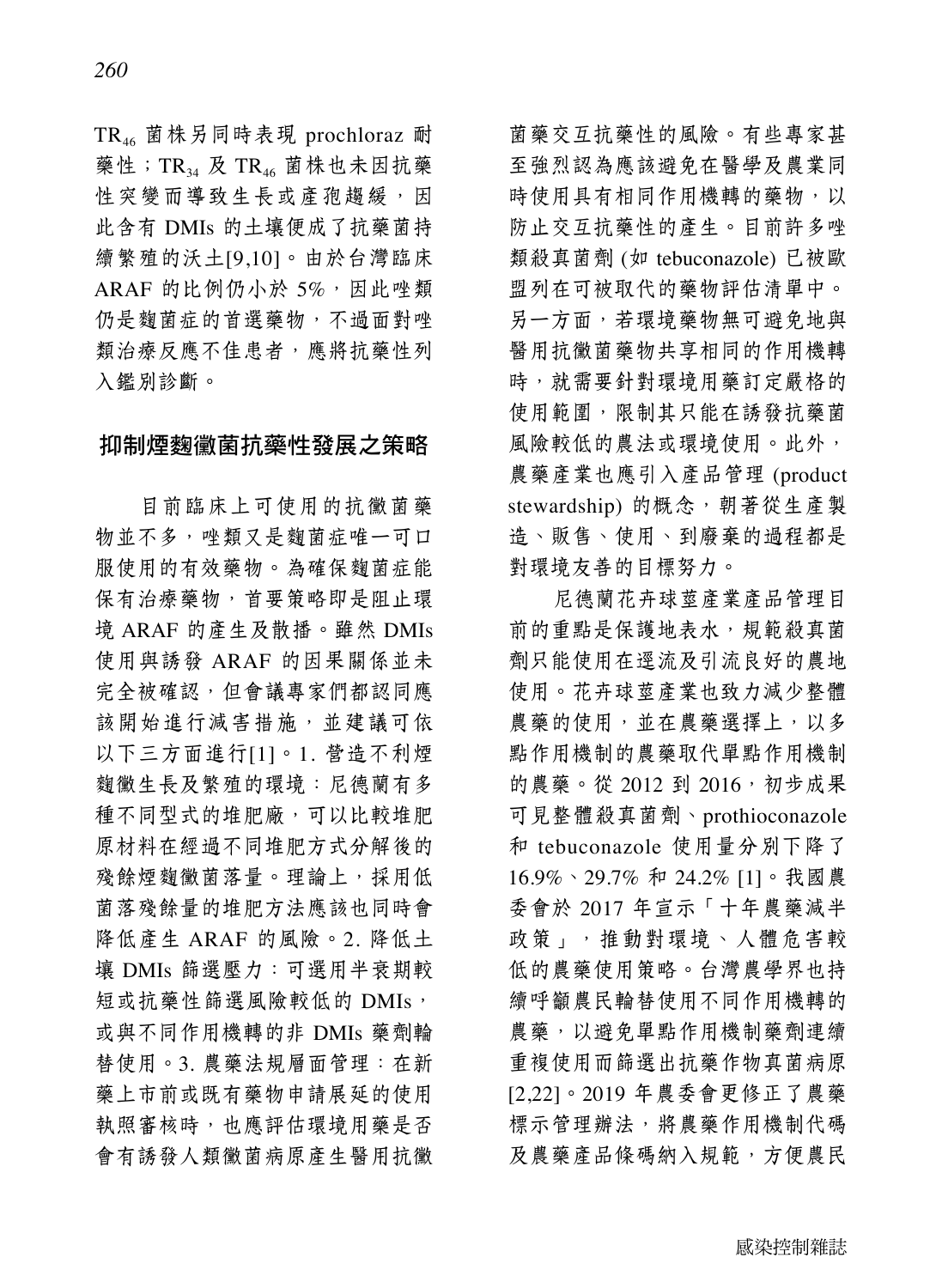TR46 菌株另同時表現 prochloraz 耐 藥性;TR34 及 TR46 菌株也未因抗藥 性突變而導致生長或產孢趨緩,因 此含有 DMIs 的土壤便成了抗藥菌持 續繁殖的沃土[9,10]。由於台灣臨床 ARAF 的比例仍小於 5%,因此唑類 仍是麴菌症的首選藥物,不過面對唑 類治療反應不佳患者,應將抗藥性列 入鑑別診斷。

### 抑制煙麴黴菌抗藥性發展之策略

目前臨床上可使用的抗黴菌藥 物並不多,唑類又是麴菌症唯一可口 服使用的有效藥物。為確保麴菌症能 保有治療藥物,首要策略即是阻止環 境 ARAF 的產生及散播。雖然 DMIs 使用與誘發 ARAF 的因果關係並未 完全被確認,但會議專家們都認同應 該開始進行減害措施,並建議可依 以下三方面進行[1]。1. 營造不利煙 麴黴生長及繁殖的環境:尼德蘭有多 種不同型式的堆肥廠,可以比較堆肥 原材料在經過不同堆肥方式分解後的 殘餘煙麴黴菌落量。理論上,採用低 菌落殘餘量的堆肥方法應該也同時會 降低產生 ARAF 的風險。2. 降低土 壤 DMIs 篩選壓力:可選用半衰期較 短或抗藥性篩選風險較低的 DMIs, 或與不同作用機轉的非 DMIs 藥劑輪 替使用。3. 農藥法規層面管理:在新 藥上市前或既有藥物申請展延的使用 執照審核時,也應評估環境用藥是否 會有誘發人類黴菌病原產生醫用抗黴

菌藥交互抗藥性的風險。有些專家甚 至強烈認為應該避免在醫學及農業同 時使用具有相同作用機轉的藥物,以 防止交互抗藥性的產生。目前許多唑 類殺真菌劑 (如 tebuconazole) 已被歐 盟列在可被取代的藥物評估清單中。 另一方面,若環境藥物無可避免地與 醫用抗黴菌藥物共享相同的作用機轉 時,就需要針對環境用藥訂定嚴格的 使用範圍,限制其只能在誘發抗藥菌 風險較低的農法或環境使用。此外, 農藥產業也應引入產品管理 (product stewardship) 的概念, 朝著從生產製 造、販售、使用、到廢棄的過程都是 對環境友善的目標努力。

尼德蘭花卉球莖產業產品管理目 前的重點是保護地表水,規範殺真菌 劑只能使用在逕流及引流良好的農地 使用。花卉球莖產業也致力減少整體 農藥的使用,並在農藥選擇上,以多 點作用機制的農藥取代單點作用機制 的農藥。從 2012 到 2016, 初步成果 可見整體殺真菌劑、prothioconazole 和 tebuconazole 使用量分別下降了 16.9%、29.7% 和 24.2% [1]。我國農 委會於 2017 年宣示「十年農藥減半 政策」, 推動對環境、人體危害較 低的農藥使用策略。台灣農學界也持 續呼籲農民輪替使用不同作用機轉的 農藥,以避免單點作用機制藥劑連續 重複使用而篩選出抗藥作物真菌病原 [2,22]。2019 年農委會更修正了農藥 標示管理辦法,將農藥作用機制代碼 及農藥產品條碼納入規範,方便農民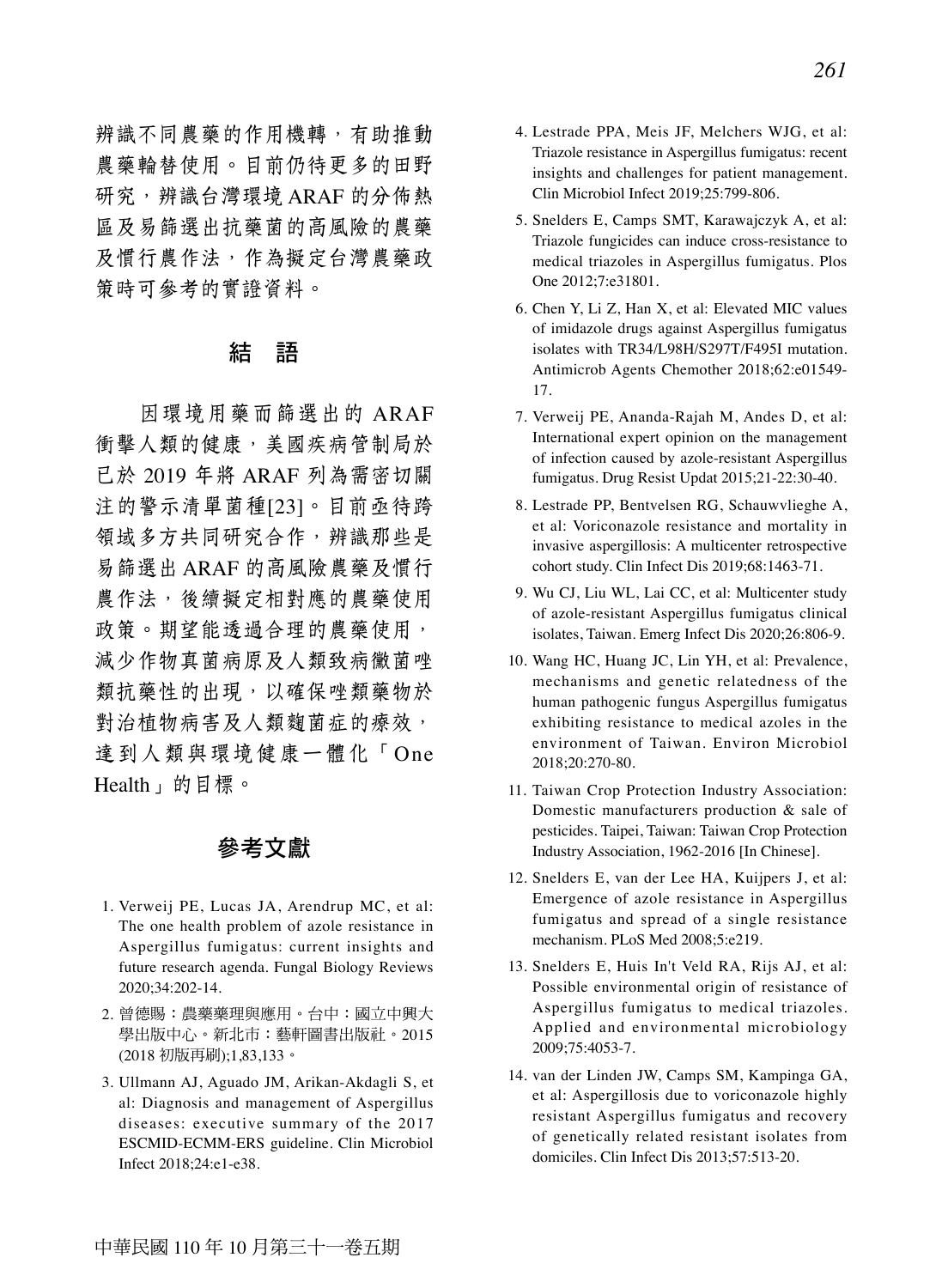辨識不同農藥的作用機轉,有助推動 農藥輪替使用。目前仍待更多的田野 研究,辨識台灣環境 ARAF 的分佈熱 區及易篩選出抗藥菌的高風險的農藥 及慣行農作法,作為擬定台灣農藥政 策時可參考的實證資料。

#### 結 語

因環境用藥而篩選出的 ARAF 衝擊人類的健康,美國疾病管制局於 已於 2019 年將 ARAF 列為需密切關 注的警示清單菌種[23]。目前亟待跨 領域多方共同研究合作,辨識那些是 易篩選出 ARAF 的高風險農藥及慣行 農作法,後續擬定相對應的農藥使用 政策。期望能透過合理的農藥使用, 減少作物真菌病原及人類致病黴菌唑 類抗藥性的出現,以確保唑類藥物於 對治植物病害及人類麴菌症的療效, 達到人類與環境健康一體化「One Health」的目標。

## 參考文獻

- 1. Verweij PE, Lucas JA, Arendrup MC, et al: The one health problem of azole resistance in Aspergillus fumigatus: current insights and future research agenda. Fungal Biology Reviews 2020;34:202-14.
- 2. 曾德賜:農藥藥理與應用。台中:國立中興大 學出版中心。新北市:藝軒圖書出版社。2015 (2018 初版再刷);1,83,133。
- 3. Ullmann AJ, Aguado JM, Arikan-Akdagli S, et al: Diagnosis and management of Aspergillus diseases: executive summary of the 2017 ESCMID-ECMM-ERS guideline. Clin Microbiol Infect 2018;24:e1-e38.
- 4. Lestrade PPA, Meis JF, Melchers WJG, et al: Triazole resistance in Aspergillus fumigatus: recent insights and challenges for patient management. Clin Microbiol Infect 2019;25:799-806.
- 5. Snelders E, Camps SMT, Karawajczyk A, et al: Triazole fungicides can induce cross-resistance to medical triazoles in Aspergillus fumigatus. Plos One 2012;7:e31801.
- 6. Chen Y, Li Z, Han X, et al: Elevated MIC values of imidazole drugs against Aspergillus fumigatus isolates with TR34/L98H/S297T/F495I mutation. Antimicrob Agents Chemother 2018;62:e01549- 17.
- 7. Verweij PE, Ananda-Rajah M, Andes D, et al: International expert opinion on the management of infection caused by azole-resistant Aspergillus fumigatus. Drug Resist Updat 2015;21-22:30-40.
- 8. Lestrade PP, Bentvelsen RG, Schauwvlieghe A, et al: Voriconazole resistance and mortality in invasive aspergillosis: A multicenter retrospective cohort study. Clin Infect Dis 2019;68:1463-71.
- 9. Wu CJ, Liu WL, Lai CC, et al: Multicenter study of azole-resistant Aspergillus fumigatus clinical isolates, Taiwan. Emerg Infect Dis 2020;26:806-9.
- 10. Wang HC, Huang JC, Lin YH, et al: Prevalence, mechanisms and genetic relatedness of the human pathogenic fungus Aspergillus fumigatus exhibiting resistance to medical azoles in the environment of Taiwan. Environ Microbiol 2018;20:270-80.
- 11. Taiwan Crop Protection Industry Association: Domestic manufacturers production & sale of pesticides. Taipei, Taiwan: Taiwan Crop Protection Industry Association, 1962-2016 [In Chinese].
- 12. Snelders E, van der Lee HA, Kuijpers J, et al: Emergence of azole resistance in Aspergillus fumigatus and spread of a single resistance mechanism. PLoS Med 2008;5:e219.
- 13. Snelders E, Huis In't Veld RA, Rijs AJ, et al: Possible environmental origin of resistance of Aspergillus fumigatus to medical triazoles. Applied and environmental microbiology 2009;75:4053-7.
- 14. van der Linden JW, Camps SM, Kampinga GA, et al: Aspergillosis due to voriconazole highly resistant Aspergillus fumigatus and recovery of genetically related resistant isolates from domiciles. Clin Infect Dis 2013;57:513-20.